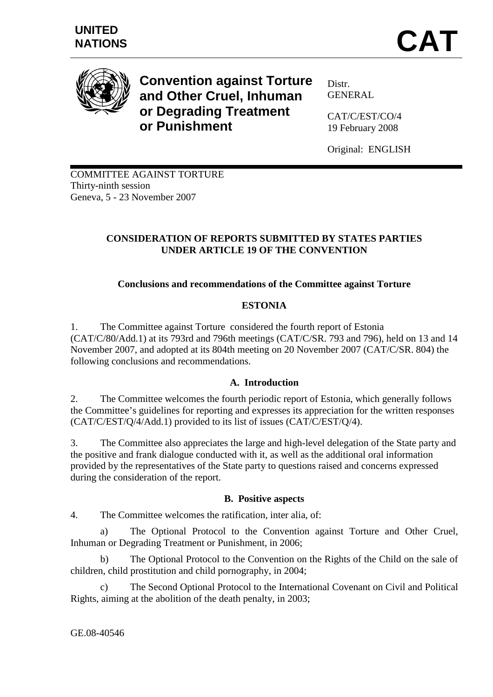

**Convention against Torture and Other Cruel, Inhuman or Degrading Treatment or Punishment** 

Distr. GENERAL

CAT/C/EST/CO/4 19 February 2008

Original: ENGLISH

COMMITTEE AGAINST TORTURE Thirty-ninth session Geneva, 5 - 23 November 2007

# **CONSIDERATION OF REPORTS SUBMITTED BY STATES PARTIES UNDER ARTICLE 19 OF THE CONVENTION**

# **Conclusions and recommendations of the Committee against Torture**

# **ESTONIA**

1. The Committee against Torture considered the fourth report of Estonia (CAT/C/80/Add.1) at its 793rd and 796th meetings (CAT/C/SR. 793 and 796), held on 13 and 14 November 2007, and adopted at its 804th meeting on 20 November 2007 (CAT/C/SR. 804) the following conclusions and recommendations.

# **A. Introduction**

2. The Committee welcomes the fourth periodic report of Estonia, which generally follows the Committee's guidelines for reporting and expresses its appreciation for the written responses (CAT/C/EST/Q/4/Add.1) provided to its list of issues (CAT/C/EST/Q/4).

3. The Committee also appreciates the large and high-level delegation of the State party and the positive and frank dialogue conducted with it, as well as the additional oral information provided by the representatives of the State party to questions raised and concerns expressed during the consideration of the report.

# **B. Positive aspects**

4. The Committee welcomes the ratification, inter alia, of:

a) The Optional Protocol to the Convention against Torture and Other Cruel, Inhuman or Degrading Treatment or Punishment, in 2006;

b) The Optional Protocol to the Convention on the Rights of the Child on the sale of children, child prostitution and child pornography, in 2004;

c) The Second Optional Protocol to the International Covenant on Civil and Political Rights, aiming at the abolition of the death penalty, in 2003;

GE.08-40546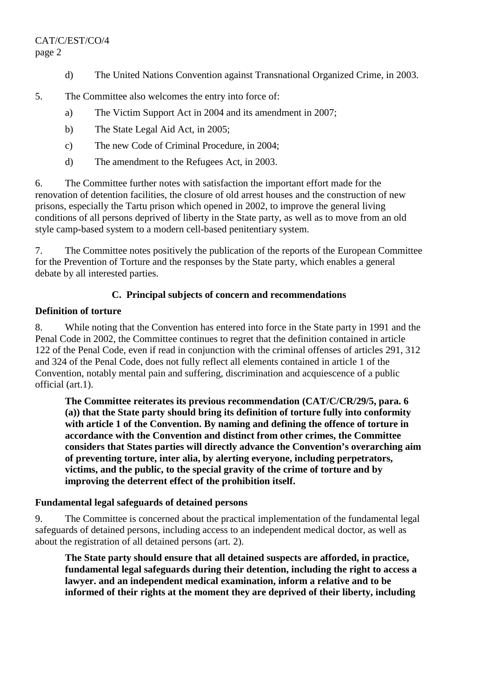# CAT/C/EST/CO/4 page 2

- d) The United Nations Convention against Transnational Organized Crime, in 2003.
- 5. The Committee also welcomes the entry into force of:
	- a) The Victim Support Act in 2004 and its amendment in 2007;
	- b) The State Legal Aid Act, in 2005;
	- c) The new Code of Criminal Procedure, in 2004;
	- d) The amendment to the Refugees Act, in 2003.

6. The Committee further notes with satisfaction the important effort made for the renovation of detention facilities, the closure of old arrest houses and the construction of new prisons, especially the Tartu prison which opened in 2002, to improve the general living conditions of all persons deprived of liberty in the State party, as well as to move from an old style camp-based system to a modern cell-based penitentiary system.

7. The Committee notes positively the publication of the reports of the European Committee for the Prevention of Torture and the responses by the State party, which enables a general debate by all interested parties.

# **C. Principal subjects of concern and recommendations**

# **Definition of torture**

8. While noting that the Convention has entered into force in the State party in 1991 and the Penal Code in 2002, the Committee continues to regret that the definition contained in article 122 of the Penal Code, even if read in conjunction with the criminal offenses of articles 291, 312 and 324 of the Penal Code, does not fully reflect all elements contained in article 1 of the Convention, notably mental pain and suffering, discrimination and acquiescence of a public official (art.1).

**The Committee reiterates its previous recommendation (CAT/C/CR/29/5, para. 6 (a)) that the State party should bring its definition of torture fully into conformity with article 1 of the Convention. By naming and defining the offence of torture in accordance with the Convention and distinct from other crimes, the Committee considers that States parties will directly advance the Convention's overarching aim of preventing torture, inter alia, by alerting everyone, including perpetrators, victims, and the public, to the special gravity of the crime of torture and by improving the deterrent effect of the prohibition itself.** 

# **Fundamental legal safeguards of detained persons**

9. The Committee is concerned about the practical implementation of the fundamental legal safeguards of detained persons, including access to an independent medical doctor, as well as about the registration of all detained persons (art. 2).

**The State party should ensure that all detained suspects are afforded, in practice, fundamental legal safeguards during their detention, including the right to access a lawyer. and an independent medical examination, inform a relative and to be informed of their rights at the moment they are deprived of their liberty, including**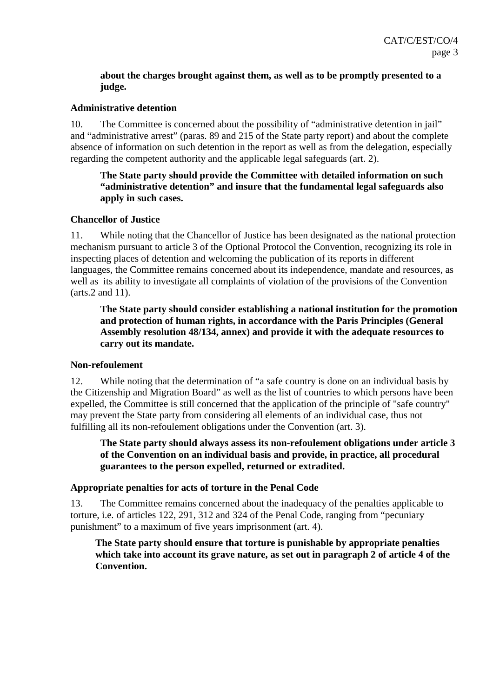# **about the charges brought against them, as well as to be promptly presented to a judge.**

# **Administrative detention**

10. The Committee is concerned about the possibility of "administrative detention in jail" and "administrative arrest" (paras. 89 and 215 of the State party report) and about the complete absence of information on such detention in the report as well as from the delegation, especially regarding the competent authority and the applicable legal safeguards (art. 2).

# **The State party should provide the Committee with detailed information on such "administrative detention" and insure that the fundamental legal safeguards also apply in such cases.**

#### **Chancellor of Justice**

11. While noting that the Chancellor of Justice has been designated as the national protection mechanism pursuant to article 3 of the Optional Protocol the Convention, recognizing its role in inspecting places of detention and welcoming the publication of its reports in different languages, the Committee remains concerned about its independence, mandate and resources, as well as its ability to investigate all complaints of violation of the provisions of the Convention (arts.2 and 11).

**The State party should consider establishing a national institution for the promotion and protection of human rights, in accordance with the Paris Principles (General Assembly resolution 48/134, annex) and provide it with the adequate resources to carry out its mandate.** 

#### **Non-refoulement**

12. While noting that the determination of "a safe country is done on an individual basis by the Citizenship and Migration Board" as well as the list of countries to which persons have been expelled, the Committee is still concerned that the application of the principle of "safe country" may prevent the State party from considering all elements of an individual case, thus not fulfilling all its non-refoulement obligations under the Convention (art. 3).

**The State party should always assess its non-refoulement obligations under article 3 of the Convention on an individual basis and provide, in practice, all procedural guarantees to the person expelled, returned or extradited.**

# **Appropriate penalties for acts of torture in the Penal Code**

13. The Committee remains concerned about the inadequacy of the penalties applicable to torture, i.e*.* of articles 122, 291, 312 and 324 of the Penal Code, ranging from "pecuniary punishment" to a maximum of five years imprisonment (art. 4).

**The State party should ensure that torture is punishable by appropriate penalties which take into account its grave nature, as set out in paragraph 2 of article 4 of the Convention.**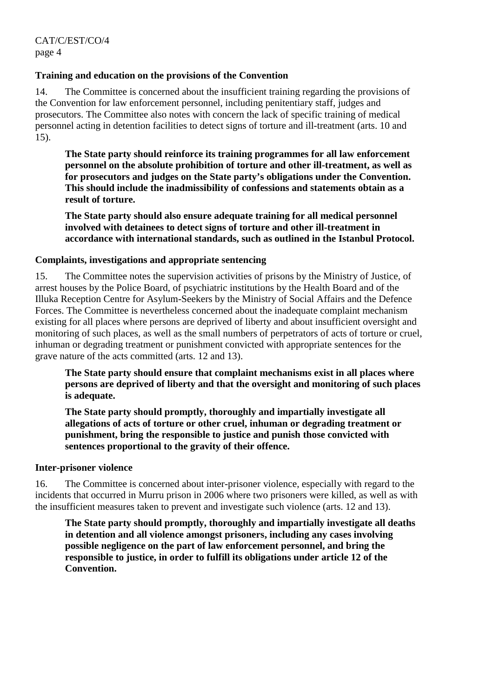# **Training and education on the provisions of the Convention**

14. The Committee is concerned about the insufficient training regarding the provisions of the Convention for law enforcement personnel, including penitentiary staff, judges and prosecutors. The Committee also notes with concern the lack of specific training of medical personnel acting in detention facilities to detect signs of torture and ill-treatment (arts. 10 and 15).

**The State party should reinforce its training programmes for all law enforcement personnel on the absolute prohibition of torture and other ill-treatment, as well as for prosecutors and judges on the State party's obligations under the Convention. This should include the inadmissibility of confessions and statements obtain as a result of torture.** 

**The State party should also ensure adequate training for all medical personnel involved with detainees to detect signs of torture and other ill-treatment in accordance with international standards, such as outlined in the Istanbul Protocol.** 

# **Complaints, investigations and appropriate sentencing**

15. The Committee notes the supervision activities of prisons by the Ministry of Justice, of arrest houses by the Police Board, of psychiatric institutions by the Health Board and of the Illuka Reception Centre for Asylum-Seekers by the Ministry of Social Affairs and the Defence Forces. The Committee is nevertheless concerned about the inadequate complaint mechanism existing for all places where persons are deprived of liberty and about insufficient oversight and monitoring of such places, as well as the small numbers of perpetrators of acts of torture or cruel, inhuman or degrading treatment or punishment convicted with appropriate sentences for the grave nature of the acts committed (arts. 12 and 13).

**The State party should ensure that complaint mechanisms exist in all places where persons are deprived of liberty and that the oversight and monitoring of such places is adequate.** 

**The State party should promptly, thoroughly and impartially investigate all allegations of acts of torture or other cruel, inhuman or degrading treatment or punishment, bring the responsible to justice and punish those convicted with sentences proportional to the gravity of their offence.** 

# **Inter-prisoner violence**

16. The Committee is concerned about inter-prisoner violence, especially with regard to the incidents that occurred in Murru prison in 2006 where two prisoners were killed, as well as with the insufficient measures taken to prevent and investigate such violence (arts. 12 and 13).

**The State party should promptly, thoroughly and impartially investigate all deaths in detention and all violence amongst prisoners, including any cases involving possible negligence on the part of law enforcement personnel, and bring the responsible to justice, in order to fulfill its obligations under article 12 of the Convention.**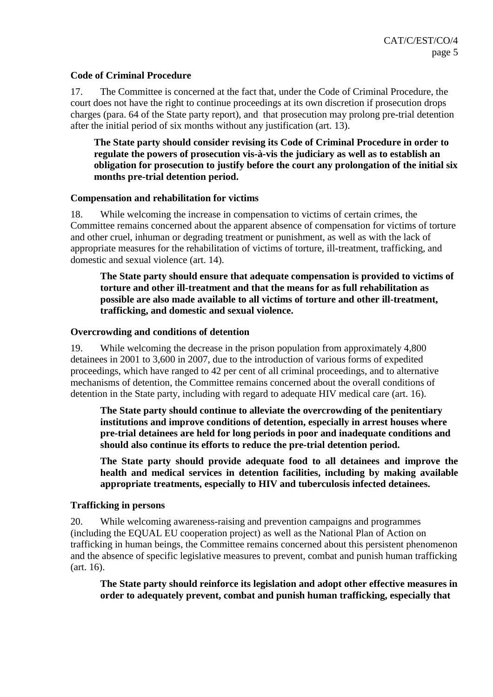#### **Code of Criminal Procedure**

17. The Committee is concerned at the fact that, under the Code of Criminal Procedure, the court does not have the right to continue proceedings at its own discretion if prosecution drops charges (para. 64 of the State party report), and that prosecution may prolong pre-trial detention after the initial period of six months without any justification (art. 13).

**The State party should consider revising its Code of Criminal Procedure in order to regulate the powers of prosecution vis-à-vis the judiciary as well as to establish an obligation for prosecution to justify before the court any prolongation of the initial six months pre-trial detention period.** 

#### **Compensation and rehabilitation for victims**

18. While welcoming the increase in compensation to victims of certain crimes, the Committee remains concerned about the apparent absence of compensation for victims of torture and other cruel, inhuman or degrading treatment or punishment, as well as with the lack of appropriate measures for the rehabilitation of victims of torture, ill-treatment, trafficking, and domestic and sexual violence (art. 14).

**The State party should ensure that adequate compensation is provided to victims of torture and other ill-treatment and that the means for as full rehabilitation as possible are also made available to all victims of torture and other ill-treatment, trafficking, and domestic and sexual violence.** 

#### **Overcrowding and conditions of detention**

19. While welcoming the decrease in the prison population from approximately 4,800 detainees in 2001 to 3,600 in 2007, due to the introduction of various forms of expedited proceedings, which have ranged to 42 per cent of all criminal proceedings, and to alternative mechanisms of detention, the Committee remains concerned about the overall conditions of detention in the State party, including with regard to adequate HIV medical care (art. 16).

**The State party should continue to alleviate the overcrowding of the penitentiary institutions and improve conditions of detention, especially in arrest houses where pre-trial detainees are held for long periods in poor and inadequate conditions and should also continue its efforts to reduce the pre-trial detention period.** 

**The State party should provide adequate food to all detainees and improve the health and medical services in detention facilities, including by making available appropriate treatments, especially to HIV and tuberculosis infected detainees.** 

#### **Trafficking in persons**

20. While welcoming awareness-raising and prevention campaigns and programmes (including the EQUAL EU cooperation project) as well as the National Plan of Action on trafficking in human beings, the Committee remains concerned about this persistent phenomenon and the absence of specific legislative measures to prevent, combat and punish human trafficking (art. 16).

**The State party should reinforce its legislation and adopt other effective measures in order to adequately prevent, combat and punish human trafficking, especially that**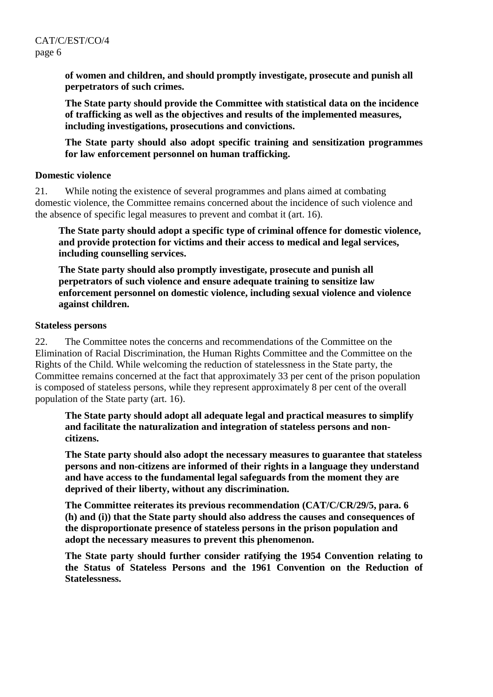**of women and children, and should promptly investigate, prosecute and punish all perpetrators of such crimes.** 

**The State party should provide the Committee with statistical data on the incidence of trafficking as well as the objectives and results of the implemented measures, including investigations, prosecutions and convictions.** 

**The State party should also adopt specific training and sensitization programmes for law enforcement personnel on human trafficking.** 

#### **Domestic violence**

21. While noting the existence of several programmes and plans aimed at combating domestic violence, the Committee remains concerned about the incidence of such violence and the absence of specific legal measures to prevent and combat it (art. 16).

**The State party should adopt a specific type of criminal offence for domestic violence, and provide protection for victims and their access to medical and legal services, including counselling services.** 

**The State party should also promptly investigate, prosecute and punish all perpetrators of such violence and ensure adequate training to sensitize law enforcement personnel on domestic violence, including sexual violence and violence against children.** 

#### **Stateless persons**

22. The Committee notes the concerns and recommendations of the Committee on the Elimination of Racial Discrimination, the Human Rights Committee and the Committee on the Rights of the Child. While welcoming the reduction of statelessness in the State party, the Committee remains concerned at the fact that approximately 33 per cent of the prison population is composed of stateless persons, while they represent approximately 8 per cent of the overall population of the State party (art. 16).

**The State party should adopt all adequate legal and practical measures to simplify and facilitate the naturalization and integration of stateless persons and noncitizens.** 

**The State party should also adopt the necessary measures to guarantee that stateless persons and non-citizens are informed of their rights in a language they understand and have access to the fundamental legal safeguards from the moment they are deprived of their liberty, without any discrimination.** 

**The Committee reiterates its previous recommendation (CAT/C/CR/29/5, para. 6 (h) and (i)) that the State party should also address the causes and consequences of the disproportionate presence of stateless persons in the prison population and adopt the necessary measures to prevent this phenomenon.**

**The State party should further consider ratifying the 1954 Convention relating to the Status of Stateless Persons and the 1961 Convention on the Reduction of Statelessness.**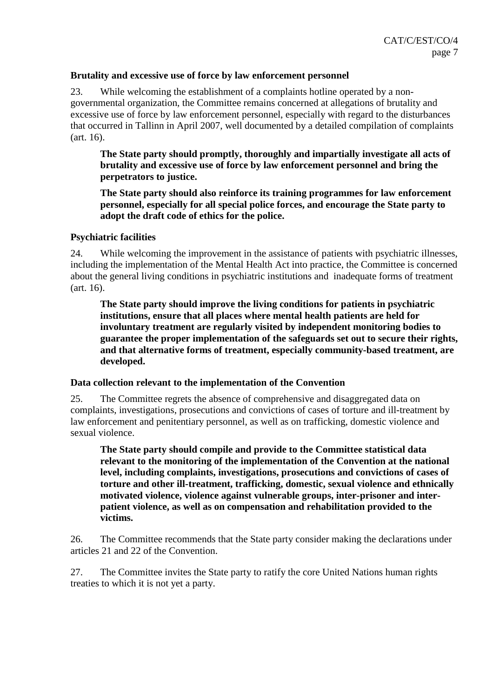#### **Brutality and excessive use of force by law enforcement personnel**

23. While welcoming the establishment of a complaints hotline operated by a nongovernmental organization, the Committee remains concerned at allegations of brutality and excessive use of force by law enforcement personnel, especially with regard to the disturbances that occurred in Tallinn in April 2007, well documented by a detailed compilation of complaints (art. 16).

**The State party should promptly, thoroughly and impartially investigate all acts of brutality and excessive use of force by law enforcement personnel and bring the perpetrators to justice.** 

**The State party should also reinforce its training programmes for law enforcement personnel, especially for all special police forces, and encourage the State party to adopt the draft code of ethics for the police.** 

#### **Psychiatric facilities**

24. While welcoming the improvement in the assistance of patients with psychiatric illnesses, including the implementation of the Mental Health Act into practice, the Committee is concerned about the general living conditions in psychiatric institutions and inadequate forms of treatment (art. 16).

**The State party should improve the living conditions for patients in psychiatric institutions, ensure that all places where mental health patients are held for involuntary treatment are regularly visited by independent monitoring bodies to guarantee the proper implementation of the safeguards set out to secure their rights, and that alternative forms of treatment, especially community-based treatment, are developed.** 

#### **Data collection relevant to the implementation of the Convention**

25. The Committee regrets the absence of comprehensive and disaggregated data on complaints, investigations, prosecutions and convictions of cases of torture and ill-treatment by law enforcement and penitentiary personnel, as well as on trafficking, domestic violence and sexual violence.

**The State party should compile and provide to the Committee statistical data relevant to the monitoring of the implementation of the Convention at the national level, including complaints, investigations, prosecutions and convictions of cases of torture and other ill-treatment, trafficking, domestic, sexual violence and ethnically motivated violence, violence against vulnerable groups, inter-prisoner and interpatient violence, as well as on compensation and rehabilitation provided to the victims.** 

26. The Committee recommends that the State party consider making the declarations under articles 21 and 22 of the Convention.

27. The Committee invites the State party to ratify the core United Nations human rights treaties to which it is not yet a party.